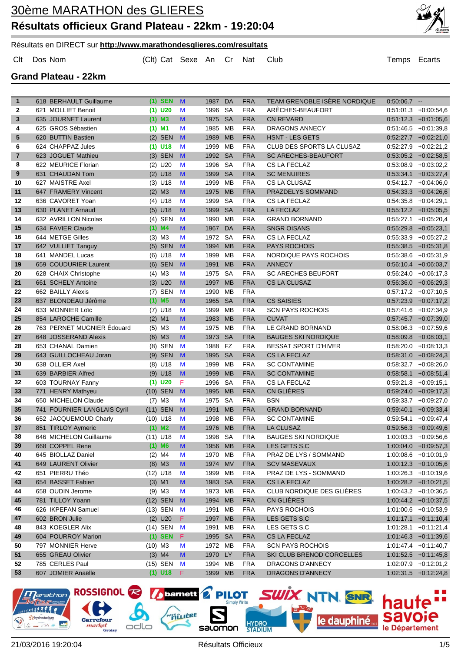

Résultats en DIRECT sur **http://www.marathondesglieres.com/resultats**

Clt Dos Nom (Clt) Cat Sexe An Cr Nat Club Temps Ecarts

#### **Grand Plateau - 22km**

| $\mathbf{1}$   | 618 BERHAULT Guillaume      |            | $(1)$ SEN               | $\mathsf{M}$ | 1987 DA            |           | <b>FRA</b> | TEAM GRENOBLE ISÈRE NORDIQUE | $0.50.06.7 -$ |                                                   |
|----------------|-----------------------------|------------|-------------------------|--------------|--------------------|-----------|------------|------------------------------|---------------|---------------------------------------------------|
| $\mathbf{2}$   | 621 MOLLIET Benoit          |            | $(1)$ U20               | M            | 1996               | <b>SA</b> | <b>FRA</b> | ARÊCHES-BEAUFORT             |               | $0.51:01.3$ +0:00:54,6                            |
| 3              | 635 JOURNET Laurent         |            | $(1)$ M3                | M            | 1975               | <b>SA</b> | <b>FRA</b> | <b>CN REVARD</b>             |               | $0.51:12.3 + 0.01:05.6$                           |
| 4              | 625 GROS Sébastien          | $(1)$ M1   |                         | M            | 1985               | MB        | <b>FRA</b> | DRAGONS ANNECY               |               | $0.51:46.5$ +0.01:39,8                            |
| 5              | 620 BUTTIN Bastien          |            | $(2)$ SEN               | M            | 1989               | <b>MB</b> | <b>FRA</b> | <b>HSNT - LES GETS</b>       |               | $0.52:27.7$ +0:02:21,0                            |
| 6              | 624 CHAPPAZ Jules           | (1)        | U18                     | M            | 1999               | <b>MB</b> | <b>FRA</b> | CLUB DES SPORTS LA CLUSAZ    |               | $0.52.27.9$ +0.02.21,2                            |
| $\overline{7}$ | 623 JOGUET Mathieu          |            | $(3)$ SEN               | M            | 1992               | <b>SA</b> | <b>FRA</b> | <b>SC ARECHES-BEAUFORT</b>   |               | $0.53.05.2 + 0.02.58.5$                           |
| 8              | 622 MEURICE Florian         |            | $(2)$ U20               | M            | 1996               | <b>SA</b> | <b>FRA</b> | CS LA FECLAZ                 | 0.53.08.9     | $+0.03.02,2$                                      |
| 9              | 631 CHAUDAN Tom             |            | $(2)$ U18               | M            | 1999               | <b>SA</b> | <b>FRA</b> | <b>SC MENUIRES</b>           |               | $0.53.34.1 + 0.03.27.4$                           |
| 10             | 627 MAISTRE Axel            |            | $(3)$ U18               | M            | 1999               | <b>MB</b> | <b>FRA</b> | CS LA CLUSAZ                 |               | $0.54:12.7 + 0.04:06.0$                           |
| 11             | 647 FRAMERY Vincent         |            | $(2)$ M3                | M            | 1975               | <b>MB</b> | <b>FRA</b> | PRAZDELYS SOMMAND            |               | $0.54.33.3 + 0.04.26.6$                           |
| 12             | 636 CAVORET Yoan            |            | $(4)$ U18               | M            | 1999               | <b>SA</b> | <b>FRA</b> | CS LA FECLAZ                 |               | $0:54:35.8$ +0:04:29,1                            |
| 13             | 630 PLANET Arnaud           |            | $(5)$ U18               | M            | 1999               | <b>SA</b> | <b>FRA</b> | <b>LA FECLAZ</b>             |               | $0:55:12.2$ +0:05:05,5                            |
| 14             | 632 AVRILLON Nicolas        |            | $(4)$ SEN               | M            | 1990               | MВ        | <b>FRA</b> | <b>GRAND BORNAND</b>         |               | $0.55:27.1 + 0.05:20.4$                           |
| 15             | 634 FAVIER Claude           |            | $(1)$ M4                | M            | 1967               | DA        | <b>FRA</b> | <b>SNGR OISANS</b>           |               | $0.55.29.8$ +0.05.23,1                            |
| 16             | 644 METGE Gilles            |            | $(3)$ M3                | M            | 1972               | <b>SA</b> | <b>FRA</b> | CS LA FECLAZ                 |               | $0:55:33.9$ +0:05:27,2                            |
| 17             | 642 VULLIET Tanguy          |            | $(5)$ SEN               | $\mathbf{M}$ | 1994               | <b>MB</b> | <b>FRA</b> | <b>PAYS ROCHOIS</b>          |               | $0.55.38.5 + 0.05.31.8$                           |
| 18             | 641 MANDEL Lucas            |            | $(6)$ U18               | M            | 1999               | MB        | <b>FRA</b> | NORDIQUE PAYS ROCHOIS        |               | $0.55.38.6 + 0.05.31.9$                           |
| 19             | 659 COUDURIER Laurent       |            | $(6)$ SEN               | $\mathbf{M}$ | 1991               | <b>MB</b> | <b>FRA</b> | <b>ANNECY</b>                |               | $0:56:10.4$ +0:06:03,7                            |
| 20             | 628 CHAIX Christophe        |            | $(4)$ M3                | M            | 1975               | SA        | <b>FRA</b> | <b>SC ARECHES BEUFORT</b>    |               | $0:56:24.0$ +0:06:17,3                            |
| 21             | 661 SCHELY Antoine          |            | $(3)$ U20               | M            | 1997               | <b>MB</b> | <b>FRA</b> | <b>CS LA CLUSAZ</b>          |               | $0.56.36.0 + 0.06.29.3$                           |
| 22             | 662 BAILLY Alexis           |            | $(7)$ SEN               | M            | 1990               | MВ        | <b>FRA</b> |                              |               | $0.57:17.2 + 0.07:10.5$                           |
| 23             | 637 BLONDEAU Jérôme         |            | $(1)$ M <sub>5</sub>    | M            | 1965               | <b>SA</b> | <b>FRA</b> | <b>CS SAISIES</b>            |               | $0.57:23.9$ +0.07:17,2                            |
| 24             | 633 MONNIER Loïc            |            | $(7)$ U18               | M            | 1999               | MB        | <b>FRA</b> | <b>SCN PAYS ROCHOIS</b>      |               | $0.57:41.6$ +0.07:34,9                            |
| 25             | 854 LAROCHE Camille         |            | $(2)$ M1                | M            | 1983               | <b>MB</b> | <b>FRA</b> | <b>CUVAT</b>                 |               | $0.57:45.7$ +0.07:39,0                            |
| 26             | 763 PERNET MUGNIER Édouard  |            | $(5)$ M3                | M            | 1975               | <b>MB</b> | <b>FRA</b> | LE GRAND BORNAND             |               | $0.58.06.3 + 0.07.59.6$                           |
| 27             | 648 JOSSERAND Alexis        |            | $(6)$ M3                | M            | 1973               | <b>SA</b> | <b>FRA</b> | <b>BAUGES SKI NORDIQUE</b>   |               | $0:58:09.8$ +0:08:03,1                            |
| 28             | 653 CHANAL Damien           |            | (8) SEN                 | M            | 1988               | FZ        | <b>FRA</b> | <b>BESSAT SPORT D'HIVER</b>  | 0.58:20.0     | $+0.08:13,3$                                      |
| 29             | 643 GUILLOCHEAU Joran       |            | $(9)$ SEN               | M            | 1995               | <b>SA</b> | <b>FRA</b> | <b>CS LA FECLAZ</b>          |               | $0.58.31.0 + 0.08.24.3$                           |
| 30             | 638 OLLIER Axel             |            | $(8)$ U18               | M            | 1999               | <b>MB</b> | <b>FRA</b> | <b>SC CONTAMINE</b>          |               | $0.58.32.7 + 0.08.26.0$                           |
| 31             | 639 BARBIER Alfred          |            | $(9)$ U18               | M            | 1999               | <b>MB</b> | <b>FRA</b> | <b>SC CONTAMINE</b>          | 0.58.58.1     | $+0.08:51,4$                                      |
| 32             | 603 TOURNAY Fanny           |            | $(1)$ U20               | F            | 1996               | <b>SA</b> | <b>FRA</b> | CS LA FECLAZ                 |               | $0:59:21.8$ +0:09:15,1                            |
| 33             | 771 HENRY Mathyeu           |            | (10) SEN                | $\mathbf{M}$ | 1995               | <b>MB</b> | <b>FRA</b> | CN GLIÈRES                   |               | $0.59.24.0 + 0.09.17,3$                           |
| 34             | 650 MICHELON Claude         |            | $(7)$ M3                | M            | 1975               | <b>SA</b> | <b>FRA</b> | <b>BSN</b>                   |               | $0.59.33.7 + 0.09.27.0$                           |
| 35             | 741 FOURNIER LANGLAIS Cyril |            | (11) SEN                | $\mathbf{M}$ | 1991               | <b>MB</b> | <b>FRA</b> | <b>GRAND BORNAND</b>         |               | $0.59.40.1 + 0.09.33.4$                           |
| 36             | 652 JACQUEMOUD Charly       | $(10)$ U18 |                         | M            | 1998               | МB        | <b>FRA</b> | <b>SC CONTAMINE</b>          | 0:59:54.1     | $+0.09:47,4$                                      |
| 37             | 851 TIRLOY Aymeric          |            | $(1)$ M2                | M            | 1976               | <b>MB</b> | <b>FRA</b> | <b>LA CLUSAZ</b>             |               | $0.59.56.3 + 0.09.49.6$                           |
| 38             | 646 MICHELON Guillaume      |            | $(11)$ U18              | M            | 1998               | <b>SA</b> | <b>FRA</b> | <b>BAUGES SKI NORDIQUE</b>   |               | $1:00:03.3 + 0:09:56.6$                           |
| 39             | 668 COPPEL Rene             |            | $(1)$ M6                | M            | 1956 MB            |           | <b>FRA</b> | LES GETS S.C                 |               |                                                   |
| 40             | 645 BIOLLAZ Daniel          |            | $(2)$ M4                | M            | 1970 MB            |           | <b>FRA</b> | PRAZ DE LYS / SOMMAND        |               | $1:00:04.0 + 0:09:57,3$<br>$1:00:08.6$ +0:10:01,9 |
| 41             | 649 LAURENT Olivier         |            | $(8)$ M3                | M            | 1974 MV            |           | <b>FRA</b> | <b>SCV MASEVAUX</b>          |               | $1:00:12.3$ +0:10:05,6                            |
| 42             | 651 PIERRU Théo             |            |                         |              | 1999 MB            |           | <b>FRA</b> | PRAZ DE LYS - SOMMAND        |               | $1:00:26.3$ +0:10:19,6                            |
| 43             | 654 BASSET Fabien           |            | $(12)$ U18<br>$(3)$ M1  | M            |                    |           | <b>FRA</b> | CS LA FECLAZ                 |               | $1:00:28.2$ +0:10:21,5                            |
|                | 658 OUDIN Jerome            |            |                         | M            | 1983 SA            |           | <b>FRA</b> | CLUB NORDIQUE DES GLIÈRES    |               |                                                   |
| 44             | 781 TILLOY Yoann            |            | $(9)$ M3<br>(12) SEN    | M            | 1973 MB<br>1994 MB |           | <b>FRA</b> | CN GLIÈRES                   |               | $1:00:43.2$ +0:10:36,5                            |
| 45             |                             |            |                         | $\mathbf{M}$ |                    |           |            |                              |               | $1:00:44.2$ +0:10:37,5                            |
| 46<br>47       | 626 IKPEFAN Samuel          |            | (13) SEN                | M            | 1991 MB            |           | <b>FRA</b> | <b>PAYS ROCHOIS</b>          |               | $1:01:00.6$ +0:10:53.9                            |
|                | 602 BRON Julie              |            | $(2)$ U20               | F.           | 1997 MB            |           | <b>FRA</b> | LES GETS S.C                 |               | $1:01:17.1$ +0:11:10,4                            |
| 48             | 843 KOEGLER Alix            |            | $(14)$ SEN<br>$(1)$ SEN | M            | 1991 MB            |           | <b>FRA</b> | LES GETS S.C                 |               | $1:01:28.1$ +0:11:21,4                            |
| 49             | 604 POURROY Marion          |            |                         | F.           | 1995 SA            |           | <b>FRA</b> | CS LA FECLAZ                 |               | $1:01:46.3$ +0:11:39,6                            |
| 50             | 797 MONNIER Herve           | $(10)$ M3  |                         | M            | 1972 MB            |           | <b>FRA</b> | <b>SCN PAYS ROCHOIS</b>      |               | $1:01:47.4$ +0:11:40,7                            |
| 51             | 655 GREAU Olivier           |            | $(3)$ M4                | M            | 1970 LY            |           | <b>FRA</b> | SKI CLUB BRENOD CORCELLES    |               | $1:01:52.5$ +0:11:45,8                            |
| 52             | 785 CERLES Paul             |            | (15) SEN                | M            | 1994 MB            |           | <b>FRA</b> | DRAGONS D'ANNECY             |               | $1:02:07.9$ +0:12:01,2                            |
| 53             | 607 JOMIER Anaëlle          |            | $(1)$ U18               | F.           | 1999 MB            |           | <b>FRA</b> | DRAGONS D'ANNECY             |               | $1:02:31.5$ +0:12:24,8                            |

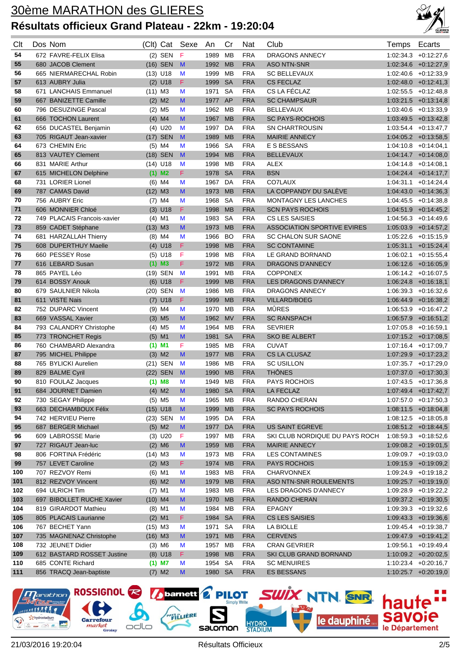

| Clt        | Dos Nom                                     |           | (Clt) Cat               | Sexe   | An                 | Cr                     | Nat                      | Club                                        | Temps     | Ecarts                                            |
|------------|---------------------------------------------|-----------|-------------------------|--------|--------------------|------------------------|--------------------------|---------------------------------------------|-----------|---------------------------------------------------|
|            |                                             |           |                         |        |                    |                        |                          |                                             |           |                                                   |
| 54<br>55   | 672 FAVRE-FELIX Elisa<br>680 JACOB Clement  |           | $(2)$ SEN               | F<br>M | 1989<br>1992       | <b>MB</b><br><b>MB</b> | <b>FRA</b><br><b>FRA</b> | <b>DRAGONS ANNECY</b><br><b>ASO NTN-SNR</b> |           | $1:02:34.3$ +0:12:27,6<br>$1:02:34.6$ +0:12:27,9  |
| 56         | 665 NIERMARECHAL Robin                      |           | $(16)$ SEN              |        | 1999               |                        | <b>FRA</b>               | <b>SC BELLEVAUX</b>                         |           | $1:02:40.6$ +0:12:33,9                            |
| 57         | 613 AUBRY Julia                             |           | $(13)$ U18<br>$(2)$ U18 | M<br>F | 1999               | MB<br><b>SA</b>        | <b>FRA</b>               | <b>CS FECLAZ</b>                            |           | $1:02:48.0 +0:12:41,3$                            |
| 58         | 671 LANCHAIS Emmanuel                       | $(11)$ M3 |                         | M      | 1971               | SA                     | <b>FRA</b>               | CS LA FÉCLAZ                                |           | $1:02:55.5$ +0:12:48,8                            |
| 59         | 667 BANIZETTE Camille                       |           | $(2)$ M <sub>2</sub>    | M      | 1977               | AP                     | <b>FRA</b>               | <b>SC CHAMPSAUR</b>                         |           | $1:03:21.5$ +0:13:14,8                            |
| 60         | 796 DESUZINGE Pascal                        |           | $(2)$ M <sub>5</sub>    | M      | 1962               | MВ                     | <b>FRA</b>               | <b>BELLEVAUX</b>                            |           | $1:03:40.6$ +0:13:33,9                            |
| 61         | 666 TOCHON Laurent                          |           | $(4)$ M4                | M      | 1967               | <b>MB</b>              | <b>FRA</b>               | <b>SC PAYS-ROCHOIS</b>                      |           | $1:03:49.5 +0:13:42.8$                            |
| 62         | 656 DUCASTEL Benjamin                       |           | $(4)$ U20               | M      | 1997               | DA                     | <b>FRA</b>               | SN CHARTROUSIN                              |           | $1:03:54.4$ +0:13:47,7                            |
| 63         | 705 RIGAUT Jean-xavier                      |           | (17) SEN                | M      | 1989               | <b>MB</b>              | <b>FRA</b>               | <b>MAIRIE ANNECY</b>                        |           | $1:04:05.2 +0:13:58.5$                            |
| 64         | 673 CHEMIN Eric                             |           | $(5)$ M4                | M      | 1966               | <b>SA</b>              | <b>FRA</b>               | E S BESSANS                                 |           | $1:04:10.8$ +0:14:04.1                            |
| 65         | 813 VAUTEY Clement                          |           | (18) SEN                | M      | 1994               | <b>MB</b>              | <b>FRA</b>               | <b>BELLEVAUX</b>                            |           | $1:04:14.7$ +0:14:08,0                            |
| 66         | 831 MARIE Arthur                            |           | $(14)$ U18              | M      | 1998               | <b>MB</b>              | <b>FRA</b>               | <b>ALEX</b>                                 |           | $1:04:14.8$ +0:14:08,1                            |
| 67         | 615 MICHELON Delphine                       |           | $(1)$ M <sub>2</sub>    | F.     | 1978               | <b>SA</b>              | <b>FRA</b>               | <b>BSN</b>                                  |           | $1:04:24.4$ +0:14:17,7                            |
| 68         | 731 LORIER Lionel                           |           | $(6)$ M4                | M      | 1967               | DA                     | <b>FRA</b>               | CO7LAUX                                     |           | $1:04:31.1 + 0:14:24.4$                           |
| 69         | 787 CAMAS David                             | $(12)$ M3 |                         | M      | 1973               | <b>MB</b>              | <b>FRA</b>               | LA COPPANDY DU SALÈVE                       |           | $1:04:43.0 +0:14:36.3$                            |
| 70         | 756 AUBRY Eric                              |           | $(7)$ M4                | M      | 1968               | <b>SA</b>              | <b>FRA</b>               | MONTAGNY LES LANCHES                        |           | $1:04:45.5$ +0:14:38,8                            |
| 71         | 606 MONNIER Chloé                           |           | $(3)$ U18               | F.     | 1998               | <b>MB</b>              | <b>FRA</b>               | <b>SCN PAYS ROCHOIS</b>                     |           | $1:04:51.9$ +0:14:45,2                            |
| 72         | 749 PLACAIS Francois-xavier                 |           | $(4)$ M1                | M      | 1983               | <b>SA</b>              | <b>FRA</b>               | <b>CS LES SAISIES</b>                       |           | $1:04:56.3 +0:14:49.6$                            |
| 73         | 859 CADET Stéphane                          | $(13)$ M3 |                         | M      | 1973               | <b>MB</b>              | <b>FRA</b>               | <b>ASSOCIATION SPORTIVE EVIRES</b>          |           | $1:05:03.9$ +0:14:57,2                            |
| 74         | 681 HARZALLAH Thierry                       |           | $(8)$ M4                | M      | 1966               | <b>BO</b>              | <b>FRA</b>               | <b>SC CHALON SUR SAONE</b>                  |           | $1:05:22.6$ +0:15:15,9                            |
| 75         | 608 DUPERTHUY Maelle                        |           | $(4)$ U18               | F      | 1998               | <b>MB</b>              | <b>FRA</b>               | <b>SC CONTAMINE</b>                         |           | $1:05:31.1 + 0:15:24,4$                           |
| 76         | 660 PESSEY Rose                             |           | $(5)$ U18               | F      | 1998               | MB                     | <b>FRA</b>               | LE GRAND BORNAND                            | 1:06:02.1 | $+0.15.55,4$                                      |
| 77         | 616 LEBARD Susan                            |           | $(1)$ M3                | F      | 1972               | <b>MB</b>              | <b>FRA</b>               | <b>DRAGONS D'ANNECY</b>                     |           | $1:06:12.6$ +0:16:05,9                            |
| 78         | 865 PAYEL Léo                               |           | (19) SEN                | M      | 1991               | <b>MB</b>              | <b>FRA</b>               | <b>COPPONEX</b>                             |           | $1:06:14.2 +0:16:07,5$                            |
| 79         | 614 BOSSY Anouk                             |           | $(6)$ U18               | F      | 1999               | <b>MB</b>              | <b>FRA</b>               | LES DRAGONS D'ANNECY                        |           | $1:06.24.8$ +0:16:18,1                            |
| 80         | 679 SAULNIER Nikola                         |           | (20) SEN                | M      | 1986               | MВ                     | <b>FRA</b>               | DRAGONS ANNECY                              |           | $1:06:39.3 + 0:16:32.6$                           |
| 81         | 611 VISTE Nais                              |           | $(7)$ U18               | F      | 1999               | <b>MB</b>              | <b>FRA</b>               | <b>VILLARD/BOEG</b>                         |           | $1:06.44.9 + 0:16.38,2$                           |
| 82         | 752 DUPARC Vincent                          |           | $(9)$ M4                | M      | 1970               | MB                     | <b>FRA</b>               | MÛRES                                       |           | $1:06:53.9 +0:16:47,2$                            |
| 83         | 669 VASSAL Xavier                           |           | $(3)$ M <sub>5</sub>    | M      | 1962               | <b>MV</b>              | <b>FRA</b>               | <b>SC RANSPACH</b>                          |           | $1:06.57.9$ +0:16:51,2                            |
| 84         | 793 CALANDRY Christophe                     |           | $(4)$ M5                | M      | 1964               | <b>MB</b>              | <b>FRA</b>               | <b>SEVRIER</b>                              |           | $1:07:05.8$ +0:16:59,1                            |
| 85         | 773 TRONCHET Regis                          |           | $(5)$ M1                | M      | 1981               | <b>SA</b>              | <b>FRA</b>               | <b>SKO BE ALBERT</b>                        |           | $1:07:15.2 +0:17:08.5$                            |
| 86         | 760 CHAMBARD Alexandra                      |           | $(1)$ M1                | F      | 1985               | <b>MB</b>              | <b>FRA</b>               | <b>CUVAT</b>                                |           | $1:07:16.4$ +0:17:09,7                            |
| 87         | 795 MICHEL Philippe                         |           | $(3)$ M2                | M      | 1977               | <b>MB</b>              | <b>FRA</b>               | <b>CS LA CLUSAZ</b>                         |           | 1:07:29.9 +0:17:23,2                              |
| 88         | 765 BYLICKI Aurelien                        |           | (21) SEN                | M      | 1986               | <b>MB</b>              | <b>FRA</b>               | <b>SC USILLON</b>                           |           | 1:07:35.7 +0:17:29,0                              |
| 89         | 829 BALME Cyril                             |           | (22) SEN                | M      | 1990               | <b>MB</b>              | <b>FRA</b>               | <b>THÔNES</b>                               |           | $1:07:37.0 +0:17:30.3$                            |
| 90         | 810 FOULAZ Jacques                          |           | $(1)$ M8                | M      | 1949               | MВ                     | <b>FRA</b>               | PAYS ROCHOIS                                |           | $1:07:43.5$ +0:17:36,8                            |
| 91         | 684 JOURNET Damien                          |           | $(4)$ M2                | M      | 1980 SA            |                        | <b>FRA</b>               | LA FECLAZ                                   |           | $1:07:49.4$ +0:17:42,7                            |
| 92         | 730 SEGAY Philippe                          |           | $(5)$ M <sub>5</sub>    | M      | 1965 MB            |                        | <b>FRA</b>               | RANDO CHERAN                                |           | $1:07:57.0 +0:17:50,3$                            |
| 93         | 663 DECHAMBOUX Félix                        |           | $(15)$ U18              | M      | 1999 MB            |                        | <b>FRA</b>               | <b>SC PAYS ROCHOIS</b>                      |           | $1:08:11.5 + 0:18:04.8$                           |
| 94         | 742 HERVIEU Pierre                          |           | (23) SEN                | M      | 1995 DA            |                        | <b>FRA</b>               |                                             |           | $1:08:12.5 + 0:18:05.8$                           |
| 95         | 687 BERGER Michael                          |           | $(5)$ M2                | M      | 1977 DA            |                        | <b>FRA</b>               | <b>US SAINT EGREVE</b>                      |           | $1:08:51.2$ +0:18:44,5                            |
| 96         | 609 LABROSSE Marie                          |           | $(3)$ U20               | F      | 1997 MB            |                        | <b>FRA</b>               | SKI CLUB NORDIQUE DU PAYS ROCH              |           | $1:08:59.3 +0:18:52.6$                            |
| 97         | 727 RIGAUT Jean-luc                         |           | $(2)$ M6                | M      | 1959 MB            |                        | <b>FRA</b>               | <b>MAIRIE ANNECY</b>                        |           | $1:09:08.2$ +0:19:01,5                            |
| 98         | 806 FORTINA Frédéric                        | $(14)$ M3 |                         | M      | 1973 MB            |                        | <b>FRA</b>               | <b>LES CONTAMINES</b>                       |           | 1:09:09.7 +0:19:03,0                              |
| 99         | 757 LEVET Caroline                          |           | $(2)$ M3                | F.     | 1974 MB            |                        | <b>FRA</b>               | <b>PAYS ROCHOIS</b>                         |           | $1:09:15.9$ +0:19:09,2                            |
| 100        | 707 REZVOY Remi                             |           | $(6)$ M1                | M      | 1983 MB            |                        | <b>FRA</b>               | <b>CHARVONNEX</b>                           |           | $1:09:24.9$ +0:19:18,2                            |
| 101        | 812 REZVOY Vincent                          |           | $(6)$ M2                | M      | 1979 MB            |                        | <b>FRA</b>               | ASO NTN-SNR ROULEMENTS                      |           | $1:09:25.7$ +0:19:19,0                            |
| 102        | 694 ULRICH Tim<br>697 BIBOLLET RUCHE Xavier |           | $(7)$ M1                | M      | 1983 MB<br>1970 MB |                        | <b>FRA</b><br><b>FRA</b> | LES DRAGONS D'ANNECY<br><b>RANDO CHERAN</b> |           | $1:09:28.9$ +0:19:22,2                            |
| 103<br>104 | 819 GIRARDOT Mathieu                        | $(10)$ M4 | $(8)$ M1                | M<br>M | 1984 MB            |                        | <b>FRA</b>               | EPAGNY                                      |           | $1:09:37.2 +0:19:30,5$<br>$1:09:39.3 + 0:19:32.6$ |
| 105        | 805 PLACAIS Laurianne                       |           | $(2)$ M1                | F.     | 1984 SA            |                        | <b>FRA</b>               | <b>CS LES SAISIES</b>                       |           | $1:09:43.3 + 0:19:36.6$                           |
| 106        | 767 BECHET Yann                             | $(15)$ M3 |                         | M      | 1971 SA            |                        | <b>FRA</b>               | LA BIOLLE                                   |           | $1:09:45.4$ +0:19:38,7                            |
| 107        | 735 MAGNENAZ Christophe                     | $(16)$ M3 |                         | M      | 1971               | <b>MB</b>              | <b>FRA</b>               | <b>CERVENS</b>                              |           | $1:09:47.9$ +0:19:41,2                            |
| 108        | 732 JEUNET Didier                           |           | $(3)$ M6                | M      | 1957 MB            |                        | <b>FRA</b>               | <b>CRAN GEVRIER</b>                         |           | $1:09:56.1$ +0:19:49,4                            |
| 109        | 612 BASTARD ROSSET Justine                  |           | $(8)$ U18               | F.     | 1998 MB            |                        | <b>FRA</b>               | SKI CLUB GRAND BORNAND                      |           | $1:10:09.2$ +0:20:02,5                            |
| 110        | 685 CONTE Richard                           |           | $(1)$ M7                | M      | 1954 SA            |                        | <b>FRA</b>               | <b>SC MENUIRES</b>                          |           | $1:10:23.4$ +0:20:16,7                            |
| 111        | 856 TRACQ Jean-baptiste                     |           | $(7)$ M2                | M      | 1980 SA            |                        | <b>FRA</b>               | <b>ES BESSANS</b>                           |           | $1:10:25.7$ +0:20:19,0                            |
|            |                                             |           |                         |        |                    |                        |                          |                                             |           |                                                   |

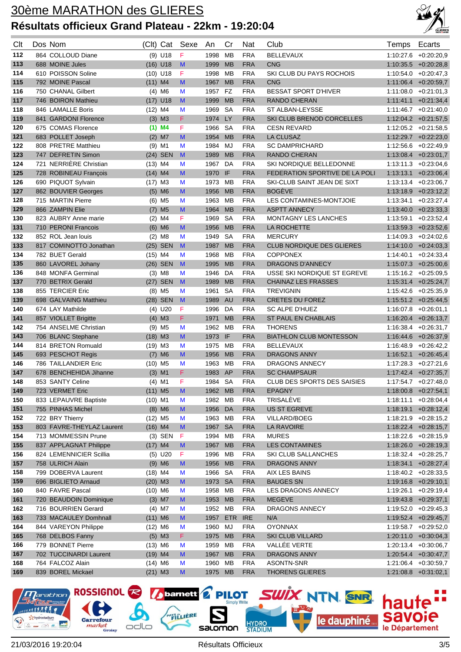

| Clt | Dos Nom                   |                       | (Clt) Cat            | Sexe         | An      | Cr        | Nat        | Club                               | <b>Temps</b> | Ecarts                   |
|-----|---------------------------|-----------------------|----------------------|--------------|---------|-----------|------------|------------------------------------|--------------|--------------------------|
| 112 | 864 COLLOUD Diane         |                       | $(9)$ U18            | $\mathsf F$  | 1998    | MВ        | <b>FRA</b> | <b>BELLEVAUX</b>                   |              | 1:10:27.6 +0:20:20.9     |
| 113 | 688 MOINE Jules           |                       | $(16)$ U18           | M            | 1999    | <b>MB</b> | <b>FRA</b> | <b>CNG</b>                         |              | $1:10:35.5$ +0:20:28,8   |
| 114 | 610 POISSON Soline        |                       | $(10)$ U18           | F            | 1998    | МB        | <b>FRA</b> | SKI CLUB DU PAYS ROCHOIS           |              | $1:10.54.0 + 0.20:47.3$  |
| 115 | 792 MOINE Pascal          | $(11)$ M4             |                      | M            | 1967    | <b>MB</b> | <b>FRA</b> | <b>CNG</b>                         |              | $1:11:06.4$ +0:20:59,7   |
| 116 | 750 CHANAL Gilbert        |                       | $(4)$ M6             | M            | 1957    | <b>FZ</b> | <b>FRA</b> | <b>BESSAT SPORT D'HIVER</b>        |              | $1:11:08.0 + 0:21:01,3$  |
| 117 | 746 BOIRON Mathieu        |                       | $(17)$ U18           | M            | 1999    | <b>MB</b> | <b>FRA</b> | RANDO CHERAN                       |              | $1:11:41.1$ $+0:21:34.4$ |
| 118 | 846 LAMALLE Boris         | $(12)$ M4             |                      | M            | 1969    | <b>SA</b> | <b>FRA</b> | ST ALBAN-LEYSSE                    |              | $1:11:46.7$ +0:21:40,0   |
| 119 | 841 GARDONI Florence      |                       | $(3)$ M3             | F.           | 1974    | <b>LY</b> | <b>FRA</b> | SKI CLUB BRENOD CORCELLES          |              | $1:12:04.2$ +0:21:57,5   |
| 120 | 675 COMAS Florence        |                       | $(1)$ M4             | F            | 1966    | <b>SA</b> | <b>FRA</b> | <b>CESN REVARD</b>                 |              | $1:12.05.2$ +0:21:58,5   |
| 121 | 683 POLLET Joseph         |                       | $(2)$ M7             | M            | 1954    | <b>MB</b> | <b>FRA</b> | <b>LA CLUSAZ</b>                   |              | $1:12:29.7$ +0:22:23,0   |
| 122 | 808 PRETRE Matthieu       |                       | $(9)$ M1             | M            | 1984    | MJ        | <b>FRA</b> | <b>SC DAMPRICHARD</b>              |              | 1:12:56.6 +0:22:49,9     |
| 123 | 747 DEFRETIN Simon        |                       | (24) SEN             | M            | 1989    | <b>MB</b> | <b>FRA</b> | RANDO CHERAN                       |              | $1:13.08.4$ +0:23:01,7   |
| 124 | 721 NERRIÈRE Christian    | $(13)$ M4             |                      | M            | 1967    | DA        | <b>FRA</b> | SKI NORDIQUE BELLEDONNE            |              | $1:13:11.3 + 0.23.04.6$  |
| 125 | 728 ROBINEAU François     | $(14)$ M4             |                      | M            | 1970 IF |           | <b>FRA</b> | FEDERATION SPORTIVE DE LA POLI     |              | $1:13:13.1$ $+0:23:06,4$ |
| 126 | 690 PIQUOT Sylvain        | $(17)$ M3             |                      | M            | 1973    | MВ        | <b>FRA</b> | SKI-CLUB SAINT JEAN DE SIXT        |              | $1:13:13.4$ +0:23:06,7   |
| 127 | 862 BOUVIER Georges       |                       | $(5)$ M6             | M            | 1956    | <b>MB</b> | <b>FRA</b> | <b>BOGEVE</b>                      |              | $1:13:18.9$ +0:23:12,2   |
| 128 | 715 MARTIN Pierre         |                       | $(6)$ M <sub>5</sub> | M            | 1963    | MB        | <b>FRA</b> | LES CONTAMINES-MONTJOIE            |              | $1:13.34.1 + 0.23:27.4$  |
| 129 | 866 ZAMPIN Elie           |                       | $(7)$ M <sub>5</sub> | M            | 1964    | <b>MB</b> | <b>FRA</b> | <b>ASPTT ANNECY</b>                |              | $1:13:40.0 + 0:23:33.3$  |
| 130 | 823 AUBRY Anne marie      |                       | $(2)$ M4             | F            | 1969    | SA        | <b>FRA</b> | <b>MONTAGNY LES LANCHES</b>        |              | $1:13:59.1 + 0:23.52,4$  |
| 131 | 710 PERONI Francois       |                       | $(6)$ M6             | M            | 1956    | <b>MB</b> | <b>FRA</b> | LA ROCHETTE                        |              | $1:13:59.3$ +0:23:52,6   |
| 132 | 852 ROL Jean louis        |                       | $(2)$ M <sub>8</sub> | M            | 1949    | <b>SA</b> | <b>FRA</b> | <b>MERCURY</b>                     |              | $1:14.09.3 + 0.24:02.6$  |
| 133 | 817 COMINOTTO Jonathan    |                       | (25) SEN             | $\mathbf{M}$ | 1987    | <b>MB</b> | <b>FRA</b> | <b>CLUB NORDIQUE DES GLIERES</b>   |              | $1:14:10.0 +0:24:03,3$   |
| 134 | 782 BUET Gerald           | $(15)$ M4             |                      | М            | 1968    | <b>MB</b> | <b>FRA</b> | <b>COPPONEX</b>                    |              | $1:14.40.1 + 0.24:33.4$  |
| 135 | 860 LAVOREL Johany        |                       | (26) SEN             | M            | 1995    | <b>MB</b> | <b>FRA</b> | <b>DRAGONS D'ANNECY</b>            |              | $1:15:07.3$ +0:25:00,6   |
| 136 | 848 MONFA Germinal        |                       | $(3)$ M <sub>8</sub> | М            | 1946    | DA        | <b>FRA</b> | USSE SKI NORDIQUE ST EGREVE        |              | $1:15:16.2 + 0:25:09.5$  |
| 137 | 770 BETRIX Gerald         |                       | (27) SEN             | $\mathbf{M}$ | 1989    | <b>MB</b> | <b>FRA</b> | <b>CHAINAZ LES FRASSES</b>         |              | $1:15:31.4$ +0:25:24,7   |
| 138 | 855 TERCIER Eric          |                       | $(8)$ M <sub>5</sub> | M            | 1961    | <b>SA</b> | <b>FRA</b> | <b>TREVIGNIN</b>                   |              | $1:15:42.6$ +0:25:35,9   |
| 139 | 698 GALVAING Matthieu     |                       | (28) SEN             | $\mathbf{M}$ | 1989    | AU        | <b>FRA</b> | <b>CRETES DU FOREZ</b>             |              | $1:15:51.2$ +0:25:44,5   |
| 140 | 674 LAY Mathilde          |                       | $(4)$ U20            | F            | 1996    | DA        | <b>FRA</b> | <b>SC ALPE D'HUEZ</b>              |              | $1:16.07.8$ +0.26:01,1   |
| 141 | 857 VIOLLET Brigitte      |                       | $(4)$ M3             | F.           | 1971    | <b>MB</b> | <b>FRA</b> | ST PAUL EN CHABLAIS                |              | $1:16:20.4$ +0:26:13,7   |
| 142 | 754 ANSELME Christian     |                       | $(9)$ M <sub>5</sub> | M            | 1962    | <b>MB</b> | <b>FRA</b> | <b>THORENS</b>                     |              | $1:16.38.4 + 0.26:31.7$  |
| 143 | 706 BLANC Stephane        | $(18)$ M3             |                      | M            | 1973    | IF        | <b>FRA</b> | <b>BIATHLON CLUB MONTESSON</b>     |              | $1:16:44.6$ +0:26:37,9   |
| 144 | 814 BRETON Romuald        | $(19)$ M3             |                      | M            | 1975    | MB        | <b>FRA</b> | <b>BELLEVAUX</b>                   | 1:16:48.9    | $+0.26:42,2$             |
| 145 | 693 PESCHOT Regis         |                       | $(7)$ M6             | M            | 1956    | <b>MB</b> | <b>FRA</b> | <b>DRAGONS ANNY</b>                |              | $1:16.52.1 + 0.26.45.4$  |
| 146 | 786 TAILLANDIER Eric      | $(10)$ M <sub>5</sub> |                      | M            | 1963    | MB        | <b>FRA</b> | DRAGONS ANNECY                     |              | $1:17:28.3 + 0:27:21.6$  |
| 147 | 678 BENCHEHIDA Jihanne    |                       | $(3)$ M1             | F.           | 1983 AP |           | <b>FRA</b> | <b>SC CHAMPSAUR</b>                |              | $1:17:42.4$ +0:27:35,7   |
| 148 | 853 SANTY Celine          |                       | $(4)$ M1             | F            | 1984 SA |           | <b>FRA</b> | <b>CLUB DES SPORTS DES SAISIES</b> |              | $1:17:54.7$ +0:27:48,0   |
| 149 | 723 VERMET Eric           | $(11)$ M <sub>5</sub> |                      | M            | 1962 MB |           | <b>FRA</b> | <b>EPAGNY</b>                      |              | $1:18:00.8$ +0:27:54,1   |
| 150 | 833 LEPAUVRE Baptiste     | $(10)$ M1             |                      | М            | 1982 MB |           | <b>FRA</b> | TRISALÈVE                          |              | $1:18:11.1 + 0:28:04,4$  |
| 151 | 755 PINHAS Michel         |                       | $(8)$ M6             | M            | 1956    | DA        | <b>FRA</b> | US ST EGREVE                       |              | $1:18:19.1 + 0:28:12,4$  |
| 152 | 722 BRY Thierry           | $(12)$ M <sub>5</sub> |                      | М            | 1963 MB |           | <b>FRA</b> | VILLARD/BOEG                       |              | $1:18:21.9$ +0:28:15,2   |
| 153 | 803 FAVRE-THEYLAZ Laurent | $(16)$ M4             |                      | M            | 1967 SA |           | <b>FRA</b> | LA RAVOIRE                         |              | $1:18:22.4$ +0:28:15,7   |
| 154 | 713 MOMMESSIN Prune       |                       | $(3)$ SEN            | $\mathsf F$  | 1994 MB |           | <b>FRA</b> | <b>MURES</b>                       |              | $1:18:22.6$ +0:28:15,9   |
| 155 | 837 APPLAGNAT Philippe    | $(17)$ M4             |                      | M            | 1967    | <b>MB</b> | <b>FRA</b> | <b>LES CONTAMINES</b>              |              | $1:18:26.0$ +0:28:19,3   |
| 156 | 824 LEMENNICIER Scillia   |                       | $(5)$ U20            | F            | 1996 MB |           | <b>FRA</b> | SKI CLUB SALLANCHES                |              | $1:18:32.4$ +0:28:25,7   |
| 157 | 758 ULRICH Alain          |                       | $(9)$ M6             | M            | 1956 MB |           | <b>FRA</b> | DRAGONS ANNY                       |              | $1:18:34.1$ +0:28:27,4   |
| 158 | 799 DOBERVA Laurent       | $(18)$ M4             |                      | M            | 1966 SA |           | <b>FRA</b> | AIX LES BAINS                      |              | $1:18:40.2$ +0:28:33,5   |
| 159 | 696 BIGLIETO Arnaud       | $(20)$ M3             |                      | M            | 1973 SA |           | <b>FRA</b> | <b>BAUGES SN</b>                   |              | $1:19:16.8$ +0:29:10,1   |
| 160 | 840 FAVRE Pascal          | $(10)$ M6             |                      | M            | 1958    | МB        | <b>FRA</b> | LES DRAGONS ANNECY                 |              | $1:19:26.1 + 0:29:19.4$  |
| 161 | 720 BEAUDOIN Dominique    |                       | $(3)$ M7             | M            | 1953    | <b>MB</b> | <b>FRA</b> | <b>MEGEVE</b>                      |              | $1:19:43.8$ +0:29:37,1   |
| 162 | 716 BOURRIEN Gerard       |                       | $(4)$ M7             | М            | 1952    | <b>MB</b> | <b>FRA</b> | DRAGONS ANNECY                     |              | $1:19:52.0 +0:29:45,3$   |
| 163 | 733 MACAULEY Domhnall     | $(11)$ M6             |                      | M            | 1957    | ETR       | <b>IRE</b> | N/A                                |              | $1:19:52.4$ +0:29:45,7   |
| 164 | 844 VAREYON Philippe      | $(12)$ M6             |                      | М            | 1960    | MJ        | <b>FRA</b> | <b>OYONNAX</b>                     |              | 1:19:58.7 +0:29:52,0     |
| 165 | 768 DELBOS Fanny          |                       | $(5)$ M3             | F.           | 1975    | <b>MB</b> | <b>FRA</b> | SKI CLUB VILLARD                   |              | $1:20:11.0 + 0:30:04,3$  |
| 166 | 779 BONNET Pierre         | $(13)$ M6             |                      | М            | 1959    | МB        | <b>FRA</b> | VALLÉE VERTE                       |              | 1:20:13.4 +0:30:06,7     |
| 167 | 702 TUCCINARDI Laurent    | $(19)$ M4             |                      | M            | 1967    | <b>MB</b> | <b>FRA</b> | DRAGONS ANNY                       |              | $1:20:54.4$ +0:30:47,7   |
| 168 | 764 FALCOZ Alain          | $(14)$ M6             |                      | M            | 1960 MB |           | <b>FRA</b> | ASONTN-SNR                         |              | 1:21:06.4 +0:30:59,7     |
| 169 | 839 BOREL Mickael         | $(21)$ M3             |                      | M            | 1975 MB |           | <b>FRA</b> | THORENS GLIERES                    |              | $1:21:08.8$ +0:31:02,1   |

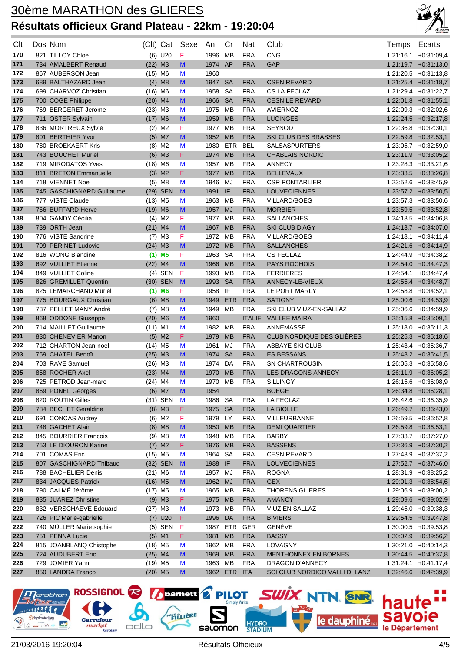

| Clt        | Dos Nom                                   | (Clt) Cat             |                      | Sexe                                                                                                       | An           | Cr              | Nat                      | Club                                      | Temps     | Ecarts                                         |
|------------|-------------------------------------------|-----------------------|----------------------|------------------------------------------------------------------------------------------------------------|--------------|-----------------|--------------------------|-------------------------------------------|-----------|------------------------------------------------|
| 170        | 821 TILLOY Chloe                          |                       | $(6)$ U20            | F                                                                                                          | 1996         | MВ              | <b>FRA</b>               | <b>CNG</b>                                |           | $1:21:16.1 + 0:31:09.4$                        |
| 171        | 734 AMALBERT Renaud                       | $(22)$ M3             |                      | M                                                                                                          | 1974         | AP              | <b>FRA</b>               | GAP                                       |           | $1:21:19.7$ +0:31:13,0                         |
| 172        | 867 AUBERSON Jean                         | $(15)$ M6             |                      | M                                                                                                          | 1960         |                 |                          |                                           |           | $1:21:20.5$ +0:31:13,8                         |
| 173        | 689 BALTHAZARD Jean                       |                       | $(4)$ M <sub>8</sub> | M                                                                                                          | 1947         | <b>SA</b>       | <b>FRA</b>               | <b>CSEN REVARD</b>                        |           | $1:21:25.4$ +0:31:18,7                         |
| 174        | 699 CHARVOZ Christian                     | $(16)$ M6             |                      | M                                                                                                          | 1958         | <b>SA</b>       | <b>FRA</b>               | CS LA FECLAZ                              |           | 1:21:29.4 +0:31:22,7                           |
| 175        | 700 COGÉ Philippe                         | $(20)$ M4             |                      | M                                                                                                          | 1966         | <b>SA</b>       | <b>FRA</b>               | <b>CESN LE REVARD</b>                     |           | $1:22:01.8$ +0:31:55,1                         |
| 176        | 769 BERGERET Jerome                       | $(23)$ M3             |                      | M                                                                                                          | 1975         | MВ              | <b>FRA</b>               | <b>AVIERNOZ</b>                           |           | 1:22:09.3 +0:32:02.6                           |
| 177        | 711 OSTER Sylvain                         | $(17)$ M6             |                      | M                                                                                                          | 1959         | <b>MB</b>       | <b>FRA</b>               | <b>LUCINGES</b>                           |           | $1:22:24.5$ +0:32:17,8                         |
| 178        | 836 MORTREUX Sylvie                       |                       | $(2)$ M2             | F                                                                                                          | 1977         | MВ              | <b>FRA</b>               | <b>SEYNOD</b>                             |           | $1:22:36.8$ +0:32:30,1                         |
| 179        | 801 BERTHIER Yvon                         |                       | $(5)$ M7             | M                                                                                                          | 1952 MB      |                 | <b>FRA</b>               | SKI CLUB DES BRASSES                      |           | 1:22:59.8 +0:32:53,1                           |
| 180        | 780 BROEKAERT Kris                        |                       | $(8)$ M2             | M                                                                                                          | 1980         | ETR             | <b>BEL</b>               | <b>SALSASPURTERS</b>                      |           | $1:23:05.7$ +0:32:59,0                         |
| 181        | 743 BOUCHET Muriel                        |                       | $(6)$ M3             | F.                                                                                                         | 1974         | <b>MB</b>       | <b>FRA</b>               | <b>CHABLAIS NORDIC</b>                    |           | $1:23:11.9$ +0:33:05,2                         |
| 182        | 719 MIRODATOS Yves                        | $(18)$ M6             |                      | M                                                                                                          | 1957         | МB              | <b>FRA</b>               | <b>ANNECY</b>                             |           | $1:23:28.3 +0.33:21.6$                         |
| 183        | 811 BRETON Emmanuelle                     |                       | $(3)$ M <sub>2</sub> | F                                                                                                          | 1977         | <b>MB</b>       | <b>FRA</b>               | <b>BELLEVAUX</b>                          |           | $1:23:33.5$ +0:33:26,8                         |
| 184        | 718 VIENNET Noel                          |                       | $(5)$ M <sub>8</sub> | M                                                                                                          | 1946         | MJ              | <b>FRA</b>               | <b>CSR PONTARLIER</b>                     |           | $1:23:52.6$ +0:33:45,9                         |
| 185        | 745 GASCHIGNARD Guillaume                 |                       | (29) SEN             | M                                                                                                          | 1991         | IF              | <b>FRA</b>               | <b>LOUVECIENNES</b>                       |           | 1:23:57.2 +0:33:50,5                           |
| 186        | 777 VISTE Claude                          | $(13)$ M <sub>5</sub> |                      | M                                                                                                          | 1963         | МB              | <b>FRA</b>               | <b>VILLARD/BOEG</b>                       |           | $1:23:57.3$ +0:33:50,6                         |
| 187        | 766 BUFFARD Herve                         | $(19)$ M6             |                      | M                                                                                                          | 1957         | <b>MJ</b>       | <b>FRA</b>               | <b>MORBIER</b>                            |           | $1:23:59.5$ $+0:33:52,8$                       |
| 188        | 804 GANDY Cécilia                         |                       | $(4)$ M <sub>2</sub> | F                                                                                                          | 1977         | МB              | <b>FRA</b>               | <b>SALLANCHES</b>                         |           | $1:24:13.5 + 0:34:06,8$                        |
| 189        | 739 ORTH Jean                             | $(21)$ M4             |                      | M                                                                                                          | 1967         | <b>MB</b>       | <b>FRA</b>               | <b>SKI CLUB D'AGY</b>                     |           | $1:24:13.7$ +0:34:07,0                         |
| 190        | 776 VISTE Sandrine                        |                       | $(7)$ M3             | F                                                                                                          | 1972         | MВ              | <b>FRA</b>               | <b>VILLARD/BOEG</b>                       |           | $1:24:18.1 + 0:34:11,4$                        |
| 191        | 709 PERINET Ludovic                       | $(24)$ M3             |                      | M                                                                                                          | 1972         | <b>MB</b>       | <b>FRA</b>               | <b>SALLANCHES</b>                         |           | $1:24:21.6$ +0:34:14,9                         |
| 192        | 816 WONG Blandine                         |                       | $(1)$ M <sub>5</sub> | F                                                                                                          | 1963         | SA              | <b>FRA</b>               | <b>CS FECLAZ</b>                          |           | $1:24:44.9$ +0:34:38,2                         |
| 193        | 692 VULLIET Etienne                       | $(22)$ M4             |                      | M                                                                                                          | 1966         | <b>MB</b>       | <b>FRA</b>               | <b>PAYS ROCHOIS</b>                       |           | $1:24:54.0 +0:34:47.3$                         |
| 194        | 849 VULLIET Coline                        |                       | $(4)$ SEN            | F                                                                                                          | 1993         | <b>MB</b>       | <b>FRA</b>               | <b>FERRIERES</b>                          | 1:24:54.1 | $+0.34:47,4$                                   |
| 195        | 826 GREMILLET Quentin                     |                       | (30) SEN             | M                                                                                                          | 1993         | <b>SA</b>       | <b>FRA</b>               | ANNECY-LE-VIEUX                           |           | $1:24:55.4$ +0:34:48,7                         |
| 196        | 825 LEMARCHAND Muriel                     |                       | $(1)$ M6             | F                                                                                                          | 1958         | IF              | <b>FRA</b>               | LE PORT MARLY                             |           | $1:24:58.8$ +0:34:52,1                         |
| 197        | 775 BOURGAUX Christian                    |                       | $(6)$ M8             | M                                                                                                          | 1949         | <b>ETR</b>      | <b>FRA</b>               | <b>SATIGNY</b>                            |           | $1:25:00.6$ +0:34:53,9                         |
| 198        | 737 PELLET MANY André                     |                       | $(7)$ M <sub>8</sub> | M                                                                                                          | 1949         | МB              | <b>FRA</b>               | SKI CLUB VIUZ-EN-SALLAZ                   |           | $1:25.06.6$ +0:34:59,9                         |
| 199        | 868 ODDONE Giuseppe                       | $(20)$ M6             |                      | M                                                                                                          | 1960         |                 | <b>ITALIE</b>            | <b>VALLEE MAIRA</b>                       |           | $1:25:15.8$ +0:35:09,1                         |
| 200        | 714 MAILLET Guillaume                     | $(11)$ M1             |                      | M                                                                                                          | 1982         | MВ              | <b>FRA</b>               | ANNEMASSE                                 |           | $1:25:18.0 + 0:35:11,3$                        |
| 201        | 830 CHENEVIER Manon                       |                       | $(5)$ M2             | F.                                                                                                         | 1979         | <b>MB</b>       | <b>FRA</b>               | CLUB NORDIQUE DES GLIÈRES                 |           | $1:25:25.3$ +0:35:18,6                         |
| 202        | 712 CHARTON Jean-noel                     | $(14)$ M5             |                      | M                                                                                                          | 1961         | MJ              | <b>FRA</b>               | ABBAYE SKI CLUB                           |           | $1:25:43.4$ +0:35:36,7                         |
| 203        | 759 CHATEL Benoît                         | $(25)$ M3             |                      | M                                                                                                          | 1974         | <b>SA</b>       | <b>FRA</b>               | <b>ES BESSANS</b>                         |           | $1:25:48.2 +0:35:41,5$                         |
| 204        | 703 RAVE Samuel                           | $(26)$ M3             |                      | M                                                                                                          | 1974         | DA              | <b>FRA</b>               | <b>SN CHARTROUSIN</b>                     |           | $1:26:05.3 + 0:35:58.6$                        |
| 205        | 858 ROCHER Axel                           | $(23)$ M4             |                      | M                                                                                                          | 1970         | <b>MB</b>       | <b>FRA</b>               | <b>LES DRAGONS ANNECY</b>                 |           | $1:26:11.9$ +0:36:05,2                         |
| 206        | 725 PETROD Jean-marc                      | $(24)$ M4             |                      | M                                                                                                          | 1970         | <b>MB</b>       | <b>FRA</b>               | <b>SILLINGY</b>                           |           | $1:26:15.6$ +0:36:08,9                         |
| 207        | 869 PONEL Georges                         |                       | $(6)$ M7             | $\mathsf{M}% _{T}=\mathsf{M}_{T}\!\left( a,b\right) ,\ \mathsf{M}_{T}=\mathsf{M}_{T}\!\left( a,b\right) ,$ | 1954         |                 |                          | <b>BOEGE</b>                              |           | 1:26:34.8 +0:36:28,1                           |
| 208        | 820 ROUTIN Gilles                         |                       | (31) SEN             | M                                                                                                          | 1986 SA      |                 | <b>FRA</b>               | LA FECLAZ                                 |           | $1:26:42.6$ +0:36:35,9                         |
| 209        | 784 BECHET Geraldine                      |                       | $(8)$ M3             | F.                                                                                                         | 1975 SA      |                 | <b>FRA</b>               | LA BIOLLE                                 |           | $1:26:49.7$ +0:36:43,0                         |
| 210        | 691 CONCAS Audrey                         |                       | $(6)$ M2             | F                                                                                                          | 1979 LY      |                 | <b>FRA</b>               | VILLEURBANNE                              |           | $1:26:59.5 + 0:36:52,8$                        |
| 211        | 748 GACHET Alain                          |                       | $(8)$ M8             | M                                                                                                          | 1950 MB      |                 | <b>FRA</b>               | <b>DEMI QUARTIER</b>                      |           | $1:26:59.8$ +0:36:53,1                         |
| 212        | 845 BOURRIER Francois                     |                       | $(9)$ M8             | M                                                                                                          | 1948         | MB              | <b>FRA</b>               | <b>BARBY</b>                              |           | 1:27:33.7 +0:37:27,0                           |
| 213        | 753 LE DIOURON Karine                     |                       | $(7)$ M <sub>2</sub> | F.                                                                                                         | 1976 MB      |                 | <b>FRA</b>               | <b>BASSENS</b>                            |           | $1:27:36.9$ +0:37:30,2                         |
| 214        | 701 COMAS Eric<br>807 GASCHIGNARD Thibaud | $(15)$ M5             |                      | M                                                                                                          | 1964         | SA              | <b>FRA</b>               | <b>CESN REVARD</b><br><b>LOUVECIENNES</b> |           | $1:27:43.9$ +0:37:37,2                         |
| 215<br>216 | 788 BACHELIER Denis                       |                       | (32) SEN             | M                                                                                                          | 1988 IF      | MJ              | <b>FRA</b><br><b>FRA</b> | <b>ROGNA</b>                              |           | $1:27:52.7$ +0:37:46,0                         |
| 217        |                                           | $(21)$ M6             |                      | M                                                                                                          | 1957         |                 |                          |                                           |           | 1:28:31.9 +0:38:25,2<br>$1:29:01.3$ +0:38:54,6 |
| 218        | 834 JACQUES Patrick<br>790 CALMÉ Jérôme   | $(16)$ M <sub>5</sub> |                      | M<br>M                                                                                                     | 1962<br>1965 | <b>MJ</b><br>MB | <b>FRA</b><br><b>FRA</b> | <b>GEX</b><br><b>THORENS GLIERES</b>      |           | 1:29:06.9 +0:39:00,2                           |
| 219        | 835 JUAREZ Christine                      | $(17)$ M <sub>5</sub> | $(9)$ M3             | F.                                                                                                         | 1975 MB      |                 | <b>FRA</b>               | <b>AMANCY</b>                             |           | 1:29:09.6 +0:39:02,9                           |
| 220        | 832 VERSCHAEVE Edouard                    | $(27)$ M3             |                      | M                                                                                                          | 1973 MB      |                 | <b>FRA</b>               | VIUZ EN SALLAZ                            |           | $1:29:45.0 +0:39:38.3$                         |
| 221        | 726 PIC Marie-gabrielle                   |                       | $(7)$ U20            | F.                                                                                                         | 1996 DA      |                 | <b>FRA</b>               | <b>BIVIERS</b>                            |           | $1:29:54.5$ +0:39:47,8                         |
| 222        | 740 MÜLLER Marie sophie                   |                       | $(5)$ SEN            | F                                                                                                          | 1987         | ETR             | GER                      | GENÈVE                                    |           | $1:30:00.5$ +0:39:53,8                         |
| 223        | 751 PENNA Lucie                           |                       | $(5)$ M1             | F.                                                                                                         | 1981         | <b>MB</b>       | <b>FRA</b>               | <b>BASSY</b>                              |           | $1:30:02.9$ +0:39:56,2                         |
| 224        | 815 JOANBLANQ Chistophe                   | $(18)$ M <sub>5</sub> |                      | M                                                                                                          | 1962 MB      |                 | <b>FRA</b>               | LOVAGNY                                   |           | $1:30:21.0 +0:40:14,3$                         |
| 225        | 724 AUDUBERT Eric                         | $(25)$ M4             |                      | M                                                                                                          | 1969         | <b>MB</b>       | <b>FRA</b>               | MENTHONNEX EN BORNES                      |           | $1:30:44.5$ +0:40:37,8                         |
| 226        | 729 JOMIER Yann                           | $(19)$ M <sub>5</sub> |                      | M                                                                                                          | 1963 MB      |                 | <b>FRA</b>               | DRAGON D'ANNECY                           |           | $1:31:24.1 + 0:41:17,4$                        |
| 227        | 850 LANDRA Franco                         | $(20)$ M5             |                      | M                                                                                                          |              | 1962 ETR ITA    |                          | SCI CLUB NORDICO VALLI DI LANZ            |           | $1:32:46.6$ +0:42:39,9                         |